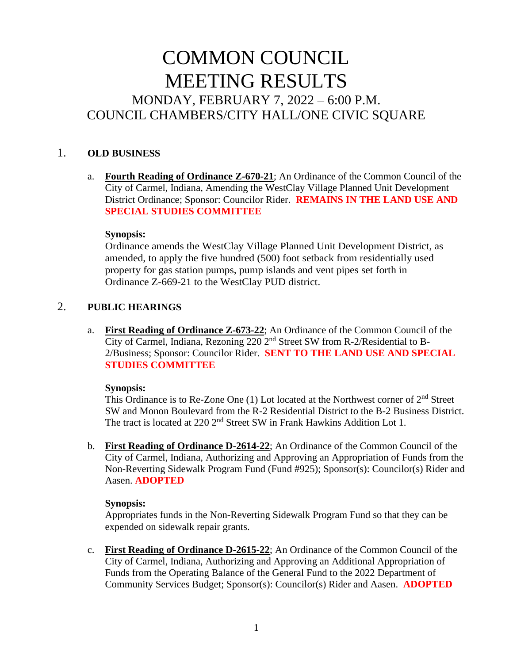# COMMON COUNCIL MEETING RESULTS MONDAY, FEBRUARY 7, 2022 – 6:00 P.M. COUNCIL CHAMBERS/CITY HALL/ONE CIVIC SQUARE

# 1. **OLD BUSINESS**

a. **Fourth Reading of Ordinance Z-670-21**; An Ordinance of the Common Council of the City of Carmel, Indiana, Amending the WestClay Village Planned Unit Development District Ordinance; Sponsor: Councilor Rider. **REMAINS IN THE LAND USE AND SPECIAL STUDIES COMMITTEE**

#### **Synopsis:**

Ordinance amends the WestClay Village Planned Unit Development District, as amended, to apply the five hundred (500) foot setback from residentially used property for gas station pumps, pump islands and vent pipes set forth in Ordinance Z-669-21 to the WestClay PUD district.

# 2. **PUBLIC HEARINGS**

a. **First Reading of Ordinance Z-673-22**; An Ordinance of the Common Council of the City of Carmel, Indiana, Rezoning 220 2nd Street SW from R-2/Residential to B-2/Business; Sponsor: Councilor Rider. **SENT TO THE LAND USE AND SPECIAL STUDIES COMMITTEE**

### **Synopsis:**

This Ordinance is to Re-Zone One (1) Lot located at the Northwest corner of 2nd Street SW and Monon Boulevard from the R-2 Residential District to the B-2 Business District. The tract is located at 220 2<sup>nd</sup> Street SW in Frank Hawkins Addition Lot 1.

b. **First Reading of Ordinance D-2614-22**; An Ordinance of the Common Council of the City of Carmel, Indiana, Authorizing and Approving an Appropriation of Funds from the Non-Reverting Sidewalk Program Fund (Fund #925); Sponsor(s): Councilor(s) Rider and Aasen. **ADOPTED**

### **Synopsis:**

Appropriates funds in the Non-Reverting Sidewalk Program Fund so that they can be expended on sidewalk repair grants.

c. **First Reading of Ordinance D-2615-22**; An Ordinance of the Common Council of the City of Carmel, Indiana, Authorizing and Approving an Additional Appropriation of Funds from the Operating Balance of the General Fund to the 2022 Department of Community Services Budget; Sponsor(s): Councilor(s) Rider and Aasen. **ADOPTED**